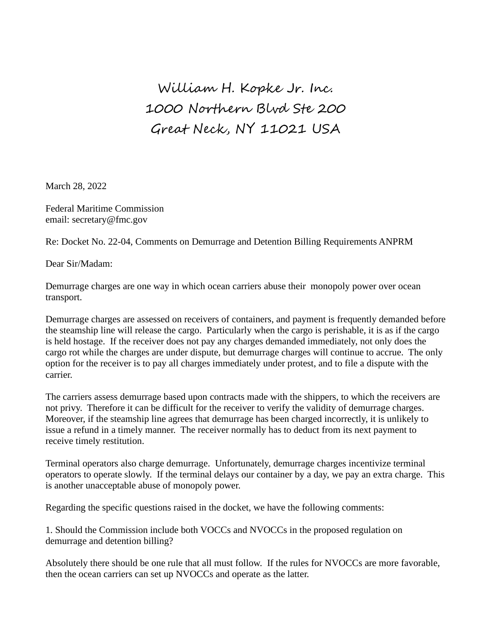## William H. Kopke Jr. Inc. 1000 Northern Blvd Ste 200 Great Neck, NY 11021 USA

March 28, 2022

Federal Maritime Commission email: secretary@fmc.gov

Re: Docket No. 22-04, Comments on Demurrage and Detention Billing Requirements ANPRM

Dear Sir/Madam:

Demurrage charges are one way in which ocean carriers abuse their monopoly power over ocean transport.

Demurrage charges are assessed on receivers of containers, and payment is frequently demanded before the steamship line will release the cargo. Particularly when the cargo is perishable, it is as if the cargo is held hostage. If the receiver does not pay any charges demanded immediately, not only does the cargo rot while the charges are under dispute, but demurrage charges will continue to accrue. The only option for the receiver is to pay all charges immediately under protest, and to file a dispute with the carrier.

The carriers assess demurrage based upon contracts made with the shippers, to which the receivers are not privy. Therefore it can be difficult for the receiver to verify the validity of demurrage charges. Moreover, if the steamship line agrees that demurrage has been charged incorrectly, it is unlikely to issue a refund in a timely manner. The receiver normally has to deduct from its next payment to receive timely restitution.

Terminal operators also charge demurrage. Unfortunately, demurrage charges incentivize terminal operators to operate slowly. If the terminal delays our container by a day, we pay an extra charge. This is another unacceptable abuse of monopoly power.

Regarding the specific questions raised in the docket, we have the following comments:

1. Should the Commission include both VOCCs and NVOCCs in the proposed regulation on demurrage and detention billing?

Absolutely there should be one rule that all must follow. If the rules for NVOCCs are more favorable, then the ocean carriers can set up NVOCCs and operate as the latter.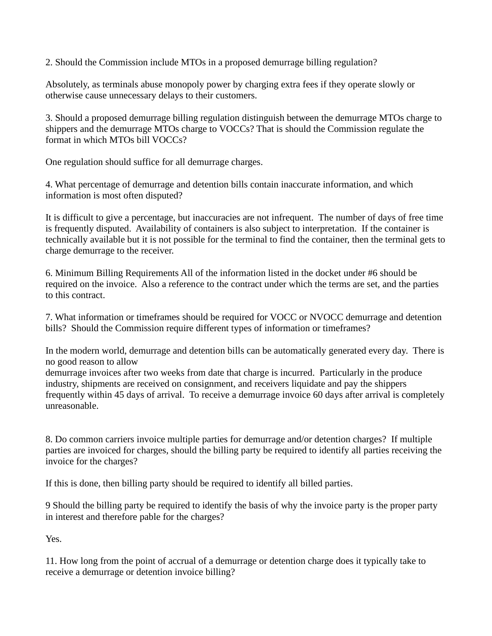2. Should the Commission include MTOs in a proposed demurrage billing regulation?

Absolutely, as terminals abuse monopoly power by charging extra fees if they operate slowly or otherwise cause unnecessary delays to their customers.

3. Should a proposed demurrage billing regulation distinguish between the demurrage MTOs charge to shippers and the demurrage MTOs charge to VOCCs? That is should the Commission regulate the format in which MTOs bill VOCCs?

One regulation should suffice for all demurrage charges.

4. What percentage of demurrage and detention bills contain inaccurate information, and which information is most often disputed?

It is difficult to give a percentage, but inaccuracies are not infrequent. The number of days of free time is frequently disputed. Availability of containers is also subject to interpretation. If the container is technically available but it is not possible for the terminal to find the container, then the terminal gets to charge demurrage to the receiver.

6. Minimum Billing Requirements All of the information listed in the docket under #6 should be required on the invoice. Also a reference to the contract under which the terms are set, and the parties to this contract.

7. What information or timeframes should be required for VOCC or NVOCC demurrage and detention bills? Should the Commission require different types of information or timeframes?

In the modern world, demurrage and detention bills can be automatically generated every day. There is no good reason to allow

demurrage invoices after two weeks from date that charge is incurred. Particularly in the produce industry, shipments are received on consignment, and receivers liquidate and pay the shippers frequently within 45 days of arrival. To receive a demurrage invoice 60 days after arrival is completely unreasonable.

8. Do common carriers invoice multiple parties for demurrage and/or detention charges? If multiple parties are invoiced for charges, should the billing party be required to identify all parties receiving the invoice for the charges?

If this is done, then billing party should be required to identify all billed parties.

9 Should the billing party be required to identify the basis of why the invoice party is the proper party in interest and therefore pable for the charges?

Yes.

11. How long from the point of accrual of a demurrage or detention charge does it typically take to receive a demurrage or detention invoice billing?